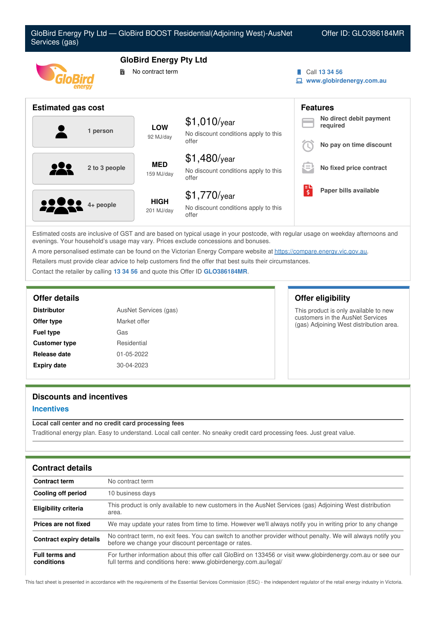| Services (gas)            |                               | GloBird Energy Pty Ltd — GloBird BOOST Residential(Adjoining West)-AusNet |  | Offer ID: GLO386184MR                     |
|---------------------------|-------------------------------|---------------------------------------------------------------------------|--|-------------------------------------------|
|                           | <b>GloBird Energy Pty Ltd</b> |                                                                           |  |                                           |
|                           | No contract term<br>鬜         |                                                                           |  | Call 13 34 56<br>www.globirdenergy.com.au |
| <b>Estimated gas cost</b> |                               |                                                                           |  | <b>Features</b>                           |
| 1 person                  | <b>LOW</b>                    | $$1,010$ /year<br>No discount conditions apply to this                    |  | No direct debit payment<br>required       |
|                           | 92 MJ/day                     | offer                                                                     |  | No pay on time discount                   |
| 2 to 3 people             | <b>MED</b>                    | $$1,480$ /year                                                            |  |                                           |
|                           | 159 MJ/day                    | No discount conditions apply to this<br>offer                             |  | No fixed price contract                   |
|                           | <b>HIGH</b><br>201 MJ/day     | $$1,770$ /year                                                            |  | Paper bills available                     |
| 4+ people                 |                               | No discount conditions apply to this<br>offer                             |  |                                           |

Estimated costs are inclusive of GST and are based on typical usage in your postcode, with regular usage on weekday afternoons and evenings. Your household's usage may vary. Prices exclude concessions and bonuses.

A more personalised estimate can be found on the Victorian Energy Compare website at <https://compare.energy.vic.gov.au>.

Retailers must provide clear advice to help customers find the offer that best suits their circumstances.

Contact the retailer by calling **13 34 56** and quote this Offer ID **GLO386184MR**.

| <b>Distributor</b>   | AusNet Services (gas) |  |  |
|----------------------|-----------------------|--|--|
| Offer type           | Market offer          |  |  |
| <b>Fuel type</b>     | Gas                   |  |  |
| <b>Customer type</b> | Residential           |  |  |
| Release date         | 01-05-2022            |  |  |
| <b>Expiry date</b>   | $30 - 04 - 2023$      |  |  |

# **Offer details Offer eligibility**

This product is only available to new customers in the AusNet Services (gas) Adjoining West distribution area.

# **Discounts and incentives**

### **Incentives**

#### **Local call center and no credit card processing fees**

Traditional energy plan. Easy to understand. Local call center. No sneaky credit card processing fees. Just great value.

| <b>Contract details</b>             |                                                                                                                                                                                 |
|-------------------------------------|---------------------------------------------------------------------------------------------------------------------------------------------------------------------------------|
| <b>Contract term</b>                | No contract term                                                                                                                                                                |
| Cooling off period                  | 10 business days                                                                                                                                                                |
| Eligibility criteria                | This product is only available to new customers in the AusNet Services (gas) Adjoining West distribution<br>area.                                                               |
| Prices are not fixed                | We may update your rates from time to time. However we'll always notify you in writing prior to any change                                                                      |
| <b>Contract expiry details</b>      | No contract term, no exit fees. You can switch to another provider without penalty. We will always notify you<br>before we change your discount percentage or rates.            |
| <b>Full terms and</b><br>conditions | For further information about this offer call GloBird on 133456 or visit www.globirdenergy.com.au or see our<br>full terms and conditions here: www.globirdenergy.com.au/legal/ |

This fact sheet is presented in accordance with the requirements of the Essential Services Commission (ESC) - the independent regulator of the retail energy industry in Victoria.